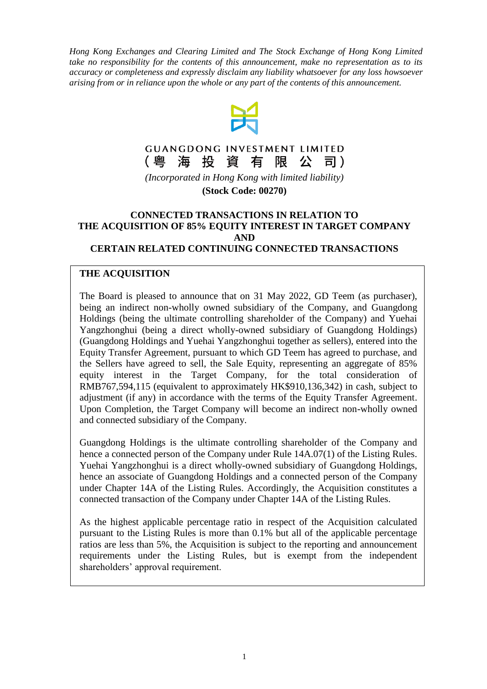*Hong Kong Exchanges and Clearing Limited and The Stock Exchange of Hong Kong Limited take no responsibility for the contents of this announcement, make no representation as to its accuracy or completeness and expressly disclaim any liability whatsoever for any loss howsoever arising from or in reliance upon the whole or any part of the contents of this announcement.*



#### **GUANGDONG INVESTMENT LIMITED** 海投資有限公 (粤 司)

*(Incorporated in Hong Kong with limited liability)* **(Stock Code: 00270)**

#### **CONNECTED TRANSACTIONS IN RELATION TO THE ACQUISITION OF 85% EQUITY INTEREST IN TARGET COMPANY AND CERTAIN RELATED CONTINUING CONNECTED TRANSACTIONS**

## **THE ACQUISITION**

The Board is pleased to announce that on 31 May 2022, GD Teem (as purchaser), being an indirect non-wholly owned subsidiary of the Company, and Guangdong Holdings (being the ultimate controlling shareholder of the Company) and Yuehai Yangzhonghui (being a direct wholly-owned subsidiary of Guangdong Holdings) (Guangdong Holdings and Yuehai Yangzhonghui together as sellers), entered into the Equity Transfer Agreement, pursuant to which GD Teem has agreed to purchase, and the Sellers have agreed to sell, the Sale Equity, representing an aggregate of 85% equity interest in the Target Company, for the total consideration of RMB767,594,115 (equivalent to approximately HK\$910,136,342) in cash, subject to adjustment (if any) in accordance with the terms of the Equity Transfer Agreement. Upon Completion, the Target Company will become an indirect non-wholly owned and connected subsidiary of the Company.

Guangdong Holdings is the ultimate controlling shareholder of the Company and hence a connected person of the Company under Rule 14A.07(1) of the Listing Rules. Yuehai Yangzhonghui is a direct wholly-owned subsidiary of Guangdong Holdings, hence an associate of Guangdong Holdings and a connected person of the Company under Chapter 14A of the Listing Rules. Accordingly, the Acquisition constitutes a connected transaction of the Company under Chapter 14A of the Listing Rules.

As the highest applicable percentage ratio in respect of the Acquisition calculated pursuant to the Listing Rules is more than 0.1% but all of the applicable percentage ratios are less than 5%, the Acquisition is subject to the reporting and announcement requirements under the Listing Rules, but is exempt from the independent shareholders' approval requirement.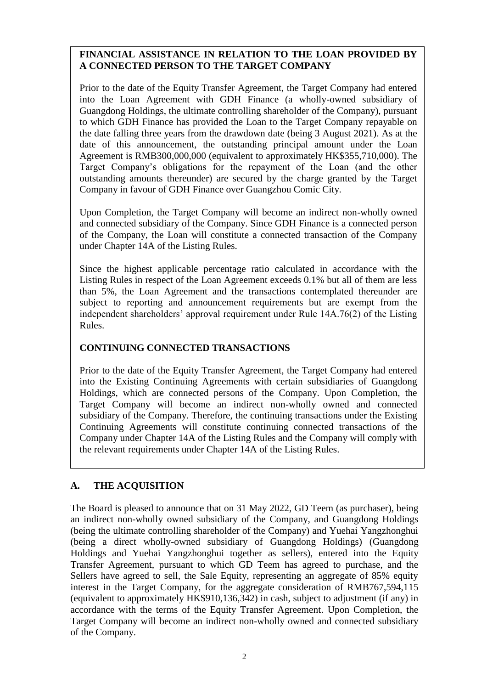# **FINANCIAL ASSISTANCE IN RELATION TO THE LOAN PROVIDED BY A CONNECTED PERSON TO THE TARGET COMPANY**

Prior to the date of the Equity Transfer Agreement, the Target Company had entered into the Loan Agreement with GDH Finance (a wholly-owned subsidiary of Guangdong Holdings, the ultimate controlling shareholder of the Company), pursuant to which GDH Finance has provided the Loan to the Target Company repayable on the date falling three years from the drawdown date (being 3 August 2021). As at the date of this announcement, the outstanding principal amount under the Loan Agreement is RMB300,000,000 (equivalent to approximately HK\$355,710,000). The Target Company's obligations for the repayment of the Loan (and the other outstanding amounts thereunder) are secured by the charge granted by the Target Company in favour of GDH Finance over Guangzhou Comic City.

Upon Completion, the Target Company will become an indirect non-wholly owned and connected subsidiary of the Company. Since GDH Finance is a connected person of the Company, the Loan will constitute a connected transaction of the Company under Chapter 14A of the Listing Rules.

Since the highest applicable percentage ratio calculated in accordance with the Listing Rules in respect of the Loan Agreement exceeds 0.1% but all of them are less than 5%, the Loan Agreement and the transactions contemplated thereunder are subject to reporting and announcement requirements but are exempt from the independent shareholders' approval requirement under Rule 14A.76(2) of the Listing Rules.

## **CONTINUING CONNECTED TRANSACTIONS**

Prior to the date of the Equity Transfer Agreement, the Target Company had entered into the Existing Continuing Agreements with certain subsidiaries of Guangdong Holdings, which are connected persons of the Company. Upon Completion, the Target Company will become an indirect non-wholly owned and connected subsidiary of the Company. Therefore, the continuing transactions under the Existing Continuing Agreements will constitute continuing connected transactions of the Company under Chapter 14A of the Listing Rules and the Company will comply with the relevant requirements under Chapter 14A of the Listing Rules.

# **A. THE ACQUISITION**

The Board is pleased to announce that on 31 May 2022, GD Teem (as purchaser), being an indirect non-wholly owned subsidiary of the Company, and Guangdong Holdings (being the ultimate controlling shareholder of the Company) and Yuehai Yangzhonghui (being a direct wholly-owned subsidiary of Guangdong Holdings) (Guangdong Holdings and Yuehai Yangzhonghui together as sellers), entered into the Equity Transfer Agreement, pursuant to which GD Teem has agreed to purchase, and the Sellers have agreed to sell, the Sale Equity, representing an aggregate of 85% equity interest in the Target Company, for the aggregate consideration of RMB767,594,115 (equivalent to approximately HK\$910,136,342) in cash, subject to adjustment (if any) in accordance with the terms of the Equity Transfer Agreement. Upon Completion, the Target Company will become an indirect non-wholly owned and connected subsidiary of the Company.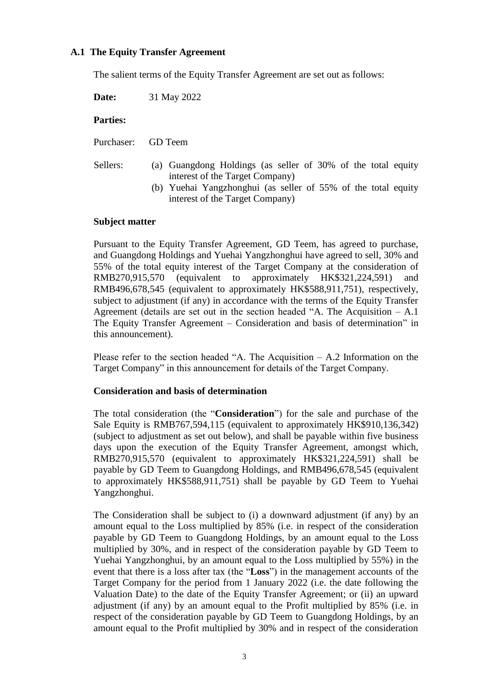## **A.1 The Equity Transfer Agreement**

The salient terms of the Equity Transfer Agreement are set out as follows:

**Date:** 31 May 2022

## **Parties:**

Purchaser: GD Teem

- Sellers: (a) Guangdong Holdings (as seller of 30% of the total equity interest of the Target Company)
	- (b) Yuehai Yangzhonghui (as seller of 55% of the total equity interest of the Target Company)

## **Subject matter**

Pursuant to the Equity Transfer Agreement, GD Teem, has agreed to purchase, and Guangdong Holdings and Yuehai Yangzhonghui have agreed to sell, 30% and 55% of the total equity interest of the Target Company at the consideration of RMB270,915,570 (equivalent to approximately HK\$321,224,591) and RMB496,678,545 (equivalent to approximately HK\$588,911,751), respectively, subject to adjustment (if any) in accordance with the terms of the Equity Transfer Agreement (details are set out in the section headed "A. The Acquisition – A.1 The Equity Transfer Agreement – Consideration and basis of determination" in this announcement).

Please refer to the section headed "A. The Acquisition – A.2 Information on the Target Company" in this announcement for details of the Target Company.

## **Consideration and basis of determination**

The total consideration (the "**Consideration**") for the sale and purchase of the Sale Equity is RMB767,594,115 (equivalent to approximately HK\$910,136,342) (subject to adjustment as set out below), and shall be payable within five business days upon the execution of the Equity Transfer Agreement, amongst which, RMB270,915,570 (equivalent to approximately HK\$321,224,591) shall be payable by GD Teem to Guangdong Holdings, and RMB496,678,545 (equivalent to approximately HK\$588,911,751) shall be payable by GD Teem to Yuehai Yangzhonghui.

The Consideration shall be subject to (i) a downward adjustment (if any) by an amount equal to the Loss multiplied by 85% (i.e. in respect of the consideration payable by GD Teem to Guangdong Holdings, by an amount equal to the Loss multiplied by 30%, and in respect of the consideration payable by GD Teem to Yuehai Yangzhonghui, by an amount equal to the Loss multiplied by 55%) in the event that there is a loss after tax (the "**Loss**") in the management accounts of the Target Company for the period from 1 January 2022 (i.e. the date following the Valuation Date) to the date of the Equity Transfer Agreement; or (ii) an upward adjustment (if any) by an amount equal to the Profit multiplied by 85% (i.e. in respect of the consideration payable by GD Teem to Guangdong Holdings, by an amount equal to the Profit multiplied by 30% and in respect of the consideration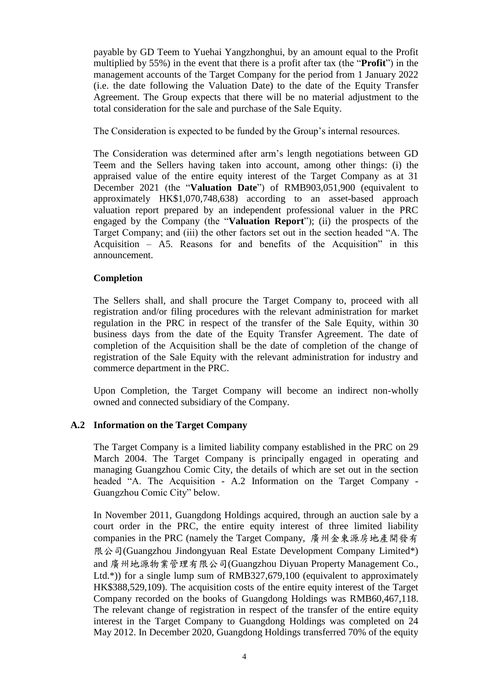payable by GD Teem to Yuehai Yangzhonghui, by an amount equal to the Profit multiplied by 55%) in the event that there is a profit after tax (the "**Profit**") in the management accounts of the Target Company for the period from 1 January 2022 (i.e. the date following the Valuation Date) to the date of the Equity Transfer Agreement. The Group expects that there will be no material adjustment to the total consideration for the sale and purchase of the Sale Equity.

The Consideration is expected to be funded by the Group's internal resources.

The Consideration was determined after arm's length negotiations between GD Teem and the Sellers having taken into account, among other things: (i) the appraised value of the entire equity interest of the Target Company as at 31 December 2021 (the "**Valuation Date**") of RMB903,051,900 (equivalent to approximately HK\$1,070,748,638) according to an asset-based approach valuation report prepared by an independent professional valuer in the PRC engaged by the Company (the "**Valuation Report**"); (ii) the prospects of the Target Company; and (iii) the other factors set out in the section headed "A. The Acquisition – A5. Reasons for and benefits of the Acquisition" in this announcement.

## **Completion**

The Sellers shall, and shall procure the Target Company to, proceed with all registration and/or filing procedures with the relevant administration for market regulation in the PRC in respect of the transfer of the Sale Equity, within 30 business days from the date of the Equity Transfer Agreement. The date of completion of the Acquisition shall be the date of completion of the change of registration of the Sale Equity with the relevant administration for industry and commerce department in the PRC.

Upon Completion, the Target Company will become an indirect non-wholly owned and connected subsidiary of the Company.

## **A.2 Information on the Target Company**

The Target Company is a limited liability company established in the PRC on 29 March 2004. The Target Company is principally engaged in operating and managing Guangzhou Comic City, the details of which are set out in the section headed "A. The Acquisition - A.2 Information on the Target Company - Guangzhou Comic City" below.

In November 2011, Guangdong Holdings acquired, through an auction sale by a court order in the PRC, the entire equity interest of three limited liability companies in the PRC (namely the Target Company, 廣州金東源房地產開發有 限公司(Guangzhou Jindongyuan Real Estate Development Company Limited\*) and 廣州地源物業管理有限公司(Guangzhou Diyuan Property Management Co., Ltd.\*)) for a single lump sum of RMB327,679,100 (equivalent to approximately HK\$388,529,109). The acquisition costs of the entire equity interest of the Target Company recorded on the books of Guangdong Holdings was RMB60,467,118. The relevant change of registration in respect of the transfer of the entire equity interest in the Target Company to Guangdong Holdings was completed on 24 May 2012. In December 2020, Guangdong Holdings transferred 70% of the equity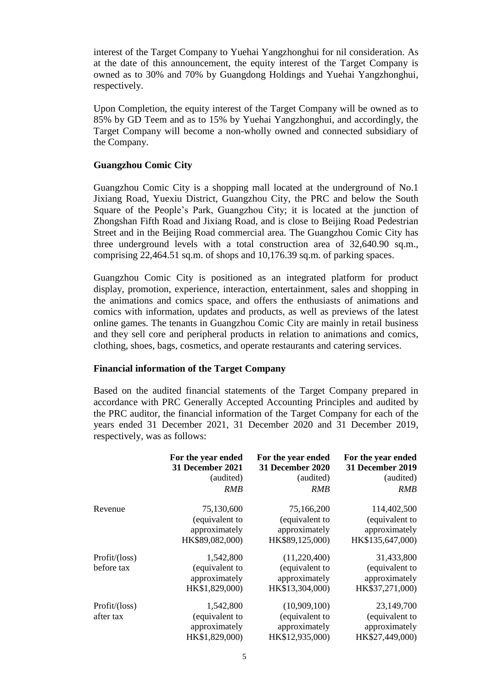interest of the Target Company to Yuehai Yangzhonghui for nil consideration. As at the date of this announcement, the equity interest of the Target Company is owned as to 30% and 70% by Guangdong Holdings and Yuehai Yangzhonghui, respectively.

Upon Completion, the equity interest of the Target Company will be owned as to 85% by GD Teem and as to 15% by Yuehai Yangzhonghui, and accordingly, the Target Company will become a non-wholly owned and connected subsidiary of the Company.

## **Guangzhou Comic City**

Guangzhou Comic City is a shopping mall located at the underground of No.1 Jixiang Road, Yuexiu District, Guangzhou City, the PRC and below the South Square of the People's Park, Guangzhou City; it is located at the junction of Zhongshan Fifth Road and Jixiang Road, and is close to Beijing Road Pedestrian Street and in the Beijing Road commercial area. The Guangzhou Comic City has three underground levels with a total construction area of 32,640.90 sq.m., comprising 22,464.51 sq.m. of shops and 10,176.39 sq.m. of parking spaces.

Guangzhou Comic City is positioned as an integrated platform for product display, promotion, experience, interaction, entertainment, sales and shopping in the animations and comics space, and offers the enthusiasts of animations and comics with information, updates and products, as well as previews of the latest online games. The tenants in Guangzhou Comic City are mainly in retail business and they sell core and peripheral products in relation to animations and comics, clothing, shoes, bags, cosmetics, and operate restaurants and catering services.

## **Financial information of the Target Company**

Based on the audited financial statements of the Target Company prepared in accordance with PRC Generally Accepted Accounting Principles and audited by the PRC auditor, the financial information of the Target Company for each of the years ended 31 December 2021, 31 December 2020 and 31 December 2019, respectively, was as follows:

|               | For the year ended<br>31 December 2021 | For the year ended<br><b>31 December 2020</b> | For the year ended<br><b>31 December 2019</b> |
|---------------|----------------------------------------|-----------------------------------------------|-----------------------------------------------|
|               | (audited)                              | (audited)                                     | (audited)                                     |
|               | RMB                                    | <b>RMB</b>                                    | <i>RMB</i>                                    |
| Revenue       | 75,130,600                             | 75,166,200                                    | 114,402,500                                   |
|               | (equivalent to                         | (equivalent to                                | (equivalent to                                |
|               | approximately                          | approximately                                 | approximately                                 |
|               | HK\$89,082,000)                        | HK\$89,125,000)                               | HK\$135,647,000)                              |
| Profit/(loss) | 1,542,800                              | (11,220,400)                                  | 31,433,800                                    |
| before tax    | (equivalent to                         | (equivalent to                                | (equivalent to                                |
|               | approximately                          | approximately                                 | approximately                                 |
|               | HK\$1,829,000)                         | HK\$13,304,000)                               | HK\$37,271,000)                               |
| Profit/(loss) | 1,542,800                              | (10,909,100)                                  | 23,149,700                                    |
| after tax     | (equivalent to                         | (equivalent to                                | (equivalent to                                |
|               | approximately                          | approximately                                 | approximately                                 |
|               | HK\$1,829,000)                         | HK\$12,935,000)                               | HK\$27,449,000)                               |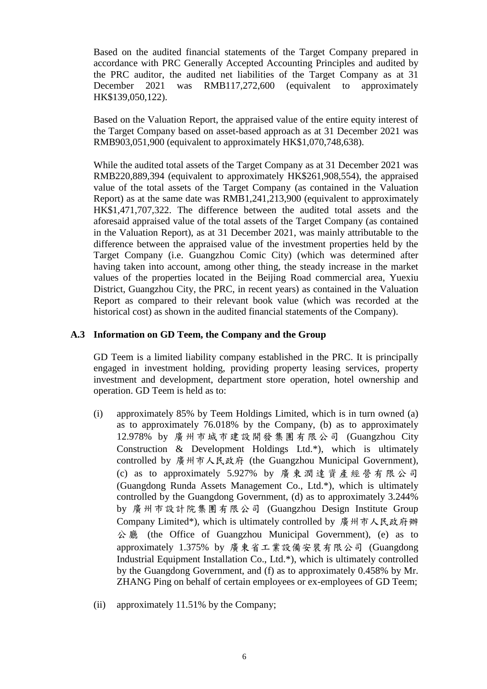Based on the audited financial statements of the Target Company prepared in accordance with PRC Generally Accepted Accounting Principles and audited by the PRC auditor, the audited net liabilities of the Target Company as at 31 December 2021 was RMB117,272,600 (equivalent to approximately HK\$139,050,122).

Based on the Valuation Report, the appraised value of the entire equity interest of the Target Company based on asset-based approach as at 31 December 2021 was RMB903,051,900 (equivalent to approximately HK\$1,070,748,638).

While the audited total assets of the Target Company as at 31 December 2021 was RMB220,889,394 (equivalent to approximately HK\$261,908,554), the appraised value of the total assets of the Target Company (as contained in the Valuation Report) as at the same date was RMB1,241,213,900 (equivalent to approximately HK\$1,471,707,322. The difference between the audited total assets and the aforesaid appraised value of the total assets of the Target Company (as contained in the Valuation Report), as at 31 December 2021, was mainly attributable to the difference between the appraised value of the investment properties held by the Target Company (i.e. Guangzhou Comic City) (which was determined after having taken into account, among other thing, the steady increase in the market values of the properties located in the Beijing Road commercial area, Yuexiu District, Guangzhou City, the PRC, in recent years) as contained in the Valuation Report as compared to their relevant book value (which was recorded at the historical cost) as shown in the audited financial statements of the Company).

## **A.3 Information on GD Teem, the Company and the Group**

GD Teem is a limited liability company established in the PRC. It is principally engaged in investment holding, providing property leasing services, property investment and development, department store operation, hotel ownership and operation. GD Teem is held as to:

- (i) approximately 85% by Teem Holdings Limited, which is in turn owned (a) as to approximately 76.018% by the Company, (b) as to approximately 12.978% by 廣州市城市建設開發集團有限公司 (Guangzhou City Construction & Development Holdings Ltd.\*), which is ultimately controlled by 廣州市人民政府 (the Guangzhou Municipal Government), (c) as to approximately 5.927% by 廣 東 潤 達 資 產 經 營 有 限 公 司 (Guangdong Runda Assets Management Co., Ltd.\*), which is ultimately controlled by the Guangdong Government, (d) as to approximately 3.244% by 廣州市設計院集團有限公司 (Guangzhou Design Institute Group Company Limited\*), which is ultimately controlled by 廣州市人民政府辦 公 廳 (the Office of Guangzhou Municipal Government), (e) as to approximately 1.375% by 廣東省工業設備安裝有限公司 (Guangdong Industrial Equipment Installation Co., Ltd.\*), which is ultimately controlled by the Guangdong Government, and (f) as to approximately 0.458% by Mr. ZHANG Ping on behalf of certain employees or ex-employees of GD Teem;
- (ii) approximately 11.51% by the Company;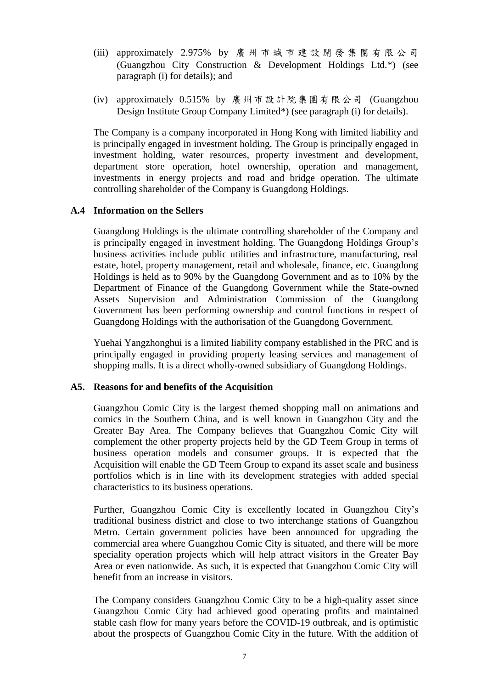- (iii) approximately 2.975% by 廣 州 市城市建設開發集團有限公司 (Guangzhou City Construction & Development Holdings Ltd.\*) (see paragraph (i) for details); and
- (iv) approximately 0.515% by 廣州市設計院集團有限公司 (Guangzhou Design Institute Group Company Limited\*) (see paragraph (i) for details).

The Company is a company incorporated in Hong Kong with limited liability and is principally engaged in investment holding. The Group is principally engaged in investment holding, water resources, property investment and development, department store operation, hotel ownership, operation and management, investments in energy projects and road and bridge operation. The ultimate controlling shareholder of the Company is Guangdong Holdings.

## **A.4 Information on the Sellers**

Guangdong Holdings is the ultimate controlling shareholder of the Company and is principally engaged in investment holding. The Guangdong Holdings Group's business activities include public utilities and infrastructure, manufacturing, real estate, hotel, property management, retail and wholesale, finance, etc. Guangdong Holdings is held as to 90% by the Guangdong Government and as to 10% by the Department of Finance of the Guangdong Government while the State-owned Assets Supervision and Administration Commission of the Guangdong Government has been performing ownership and control functions in respect of Guangdong Holdings with the authorisation of the Guangdong Government.

Yuehai Yangzhonghui is a limited liability company established in the PRC and is principally engaged in providing property leasing services and management of shopping malls. It is a direct wholly-owned subsidiary of Guangdong Holdings.

## **A5. Reasons for and benefits of the Acquisition**

Guangzhou Comic City is the largest themed shopping mall on animations and comics in the Southern China, and is well known in Guangzhou City and the Greater Bay Area. The Company believes that Guangzhou Comic City will complement the other property projects held by the GD Teem Group in terms of business operation models and consumer groups. It is expected that the Acquisition will enable the GD Teem Group to expand its asset scale and business portfolios which is in line with its development strategies with added special characteristics to its business operations.

Further, Guangzhou Comic City is excellently located in Guangzhou City's traditional business district and close to two interchange stations of Guangzhou Metro. Certain government policies have been announced for upgrading the commercial area where Guangzhou Comic City is situated, and there will be more speciality operation projects which will help attract visitors in the Greater Bay Area or even nationwide. As such, it is expected that Guangzhou Comic City will benefit from an increase in visitors.

The Company considers Guangzhou Comic City to be a high-quality asset since Guangzhou Comic City had achieved good operating profits and maintained stable cash flow for many years before the COVID-19 outbreak, and is optimistic about the prospects of Guangzhou Comic City in the future. With the addition of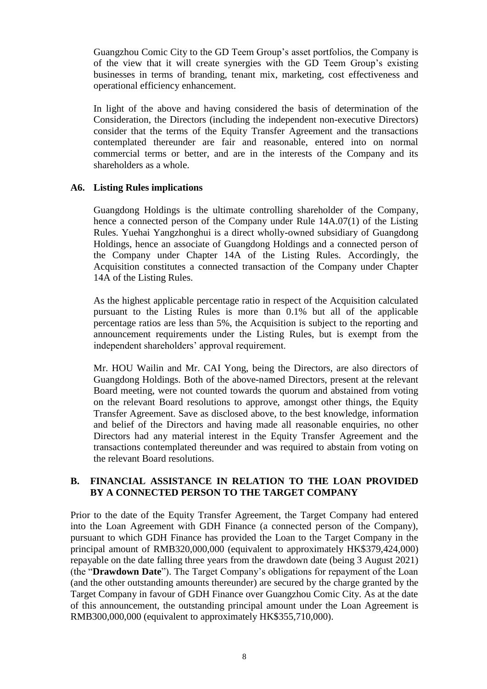Guangzhou Comic City to the GD Teem Group's asset portfolios, the Company is of the view that it will create synergies with the GD Teem Group's existing businesses in terms of branding, tenant mix, marketing, cost effectiveness and operational efficiency enhancement.

In light of the above and having considered the basis of determination of the Consideration, the Directors (including the independent non-executive Directors) consider that the terms of the Equity Transfer Agreement and the transactions contemplated thereunder are fair and reasonable, entered into on normal commercial terms or better, and are in the interests of the Company and its shareholders as a whole.

## **A6. Listing Rules implications**

Guangdong Holdings is the ultimate controlling shareholder of the Company, hence a connected person of the Company under Rule 14A.07(1) of the Listing Rules. Yuehai Yangzhonghui is a direct wholly-owned subsidiary of Guangdong Holdings, hence an associate of Guangdong Holdings and a connected person of the Company under Chapter 14A of the Listing Rules. Accordingly, the Acquisition constitutes a connected transaction of the Company under Chapter 14A of the Listing Rules.

As the highest applicable percentage ratio in respect of the Acquisition calculated pursuant to the Listing Rules is more than 0.1% but all of the applicable percentage ratios are less than 5%, the Acquisition is subject to the reporting and announcement requirements under the Listing Rules, but is exempt from the independent shareholders' approval requirement.

Mr. HOU Wailin and Mr. CAI Yong, being the Directors, are also directors of Guangdong Holdings. Both of the above-named Directors, present at the relevant Board meeting, were not counted towards the quorum and abstained from voting on the relevant Board resolutions to approve, amongst other things, the Equity Transfer Agreement. Save as disclosed above, to the best knowledge, information and belief of the Directors and having made all reasonable enquiries, no other Directors had any material interest in the Equity Transfer Agreement and the transactions contemplated thereunder and was required to abstain from voting on the relevant Board resolutions.

## **B. FINANCIAL ASSISTANCE IN RELATION TO THE LOAN PROVIDED BY A CONNECTED PERSON TO THE TARGET COMPANY**

Prior to the date of the Equity Transfer Agreement, the Target Company had entered into the Loan Agreement with GDH Finance (a connected person of the Company), pursuant to which GDH Finance has provided the Loan to the Target Company in the principal amount of RMB320,000,000 (equivalent to approximately HK\$379,424,000) repayable on the date falling three years from the drawdown date (being 3 August 2021) (the "**Drawdown Date**"). The Target Company's obligations for repayment of the Loan (and the other outstanding amounts thereunder) are secured by the charge granted by the Target Company in favour of GDH Finance over Guangzhou Comic City. As at the date of this announcement, the outstanding principal amount under the Loan Agreement is RMB300,000,000 (equivalent to approximately HK\$355,710,000).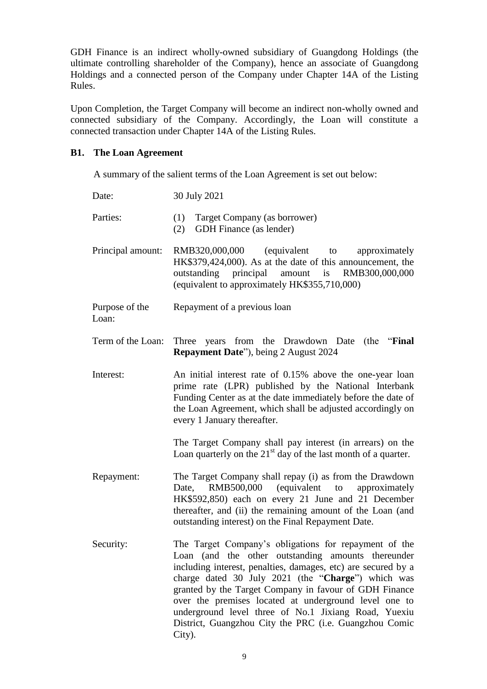GDH Finance is an indirect wholly-owned subsidiary of Guangdong Holdings (the ultimate controlling shareholder of the Company), hence an associate of Guangdong Holdings and a connected person of the Company under Chapter 14A of the Listing Rules.

Upon Completion, the Target Company will become an indirect non-wholly owned and connected subsidiary of the Company. Accordingly, the Loan will constitute a connected transaction under Chapter 14A of the Listing Rules.

## **B1. The Loan Agreement**

A summary of the salient terms of the Loan Agreement is set out below:

| Date:                   | 30 July 2021                                                                                                                                                                                                                                                                                                                                                                                                                                                                      |  |
|-------------------------|-----------------------------------------------------------------------------------------------------------------------------------------------------------------------------------------------------------------------------------------------------------------------------------------------------------------------------------------------------------------------------------------------------------------------------------------------------------------------------------|--|
| Parties:                | Target Company (as borrower)<br>(1)<br><b>GDH</b> Finance (as lender)<br>(2)                                                                                                                                                                                                                                                                                                                                                                                                      |  |
| Principal amount:       | RMB320,000,000 (equivalent to approximately<br>HK\$379,424,000). As at the date of this announcement, the<br>amount is<br>outstanding principal<br>RMB300,000,000<br>(equivalent to approximately HK\$355,710,000)                                                                                                                                                                                                                                                                |  |
| Purpose of the<br>Loan: | Repayment of a previous loan                                                                                                                                                                                                                                                                                                                                                                                                                                                      |  |
| Term of the Loan:       | Three years from the Drawdown Date<br>(the " <b>Final</b> ")<br><b>Repayment Date"</b> ), being 2 August 2024                                                                                                                                                                                                                                                                                                                                                                     |  |
| Interest:               | An initial interest rate of 0.15% above the one-year loan<br>prime rate (LPR) published by the National Interbank<br>Funding Center as at the date immediately before the date of<br>the Loan Agreement, which shall be adjusted accordingly on<br>every 1 January thereafter.                                                                                                                                                                                                    |  |
|                         | The Target Company shall pay interest (in arrears) on the<br>Loan quarterly on the $21st$ day of the last month of a quarter.                                                                                                                                                                                                                                                                                                                                                     |  |
| Repayment:              | The Target Company shall repay (i) as from the Drawdown<br>RMB500,000 (equivalent to<br>Date,<br>approximately<br>HK\$592,850) each on every 21 June and 21 December<br>thereafter, and (ii) the remaining amount of the Loan (and<br>outstanding interest) on the Final Repayment Date.                                                                                                                                                                                          |  |
| Security:               | The Target Company's obligations for repayment of the<br>Loan (and the other outstanding amounts thereunder<br>including interest, penalties, damages, etc) are secured by a<br>charge dated 30 July 2021 (the "Charge") which was<br>granted by the Target Company in favour of GDH Finance<br>over the premises located at underground level one to<br>underground level three of No.1 Jixiang Road, Yuexiu<br>District, Guangzhou City the PRC (i.e. Guangzhou Comic<br>City). |  |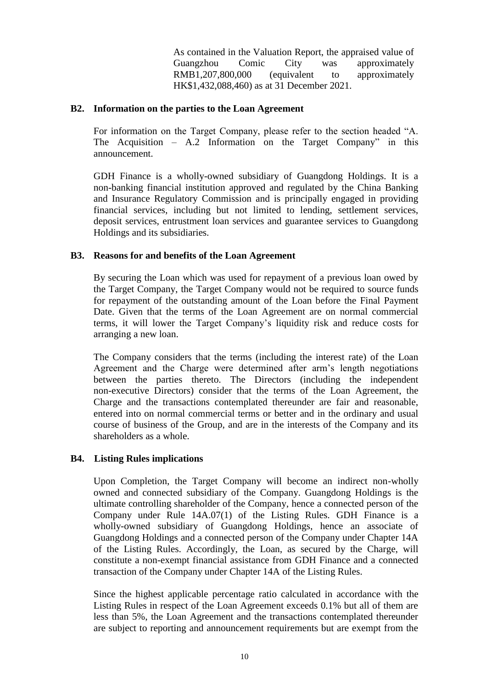As contained in the Valuation Report, the appraised value of Guangzhou Comic City was approximately RMB1,207,800,000 (equivalent to approximately HK\$1,432,088,460) as at 31 December 2021.

## **B2. Information on the parties to the Loan Agreement**

For information on the Target Company, please refer to the section headed "A. The Acquisition – A.2 Information on the Target Company" in this announcement.

GDH Finance is a wholly-owned subsidiary of Guangdong Holdings. It is a non-banking financial institution approved and regulated by the China Banking and Insurance Regulatory Commission and is principally engaged in providing financial services, including but not limited to lending, settlement services, deposit services, entrustment loan services and guarantee services to Guangdong Holdings and its subsidiaries.

## **B3. Reasons for and benefits of the Loan Agreement**

By securing the Loan which was used for repayment of a previous loan owed by the Target Company, the Target Company would not be required to source funds for repayment of the outstanding amount of the Loan before the Final Payment Date. Given that the terms of the Loan Agreement are on normal commercial terms, it will lower the Target Company's liquidity risk and reduce costs for arranging a new loan.

The Company considers that the terms (including the interest rate) of the Loan Agreement and the Charge were determined after arm's length negotiations between the parties thereto. The Directors (including the independent non-executive Directors) consider that the terms of the Loan Agreement, the Charge and the transactions contemplated thereunder are fair and reasonable, entered into on normal commercial terms or better and in the ordinary and usual course of business of the Group, and are in the interests of the Company and its shareholders as a whole.

## **B4. Listing Rules implications**

Upon Completion, the Target Company will become an indirect non-wholly owned and connected subsidiary of the Company. Guangdong Holdings is the ultimate controlling shareholder of the Company, hence a connected person of the Company under Rule 14A.07(1) of the Listing Rules. GDH Finance is a wholly-owned subsidiary of Guangdong Holdings, hence an associate of Guangdong Holdings and a connected person of the Company under Chapter 14A of the Listing Rules. Accordingly, the Loan, as secured by the Charge, will constitute a non-exempt financial assistance from GDH Finance and a connected transaction of the Company under Chapter 14A of the Listing Rules.

Since the highest applicable percentage ratio calculated in accordance with the Listing Rules in respect of the Loan Agreement exceeds 0.1% but all of them are less than 5%, the Loan Agreement and the transactions contemplated thereunder are subject to reporting and announcement requirements but are exempt from the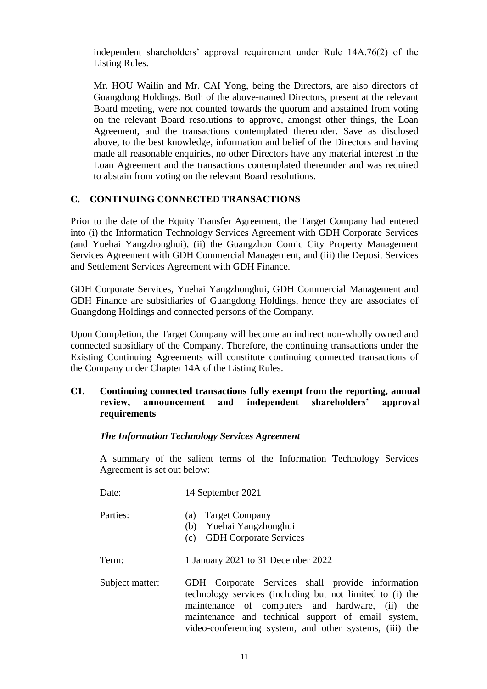independent shareholders' approval requirement under Rule 14A.76(2) of the Listing Rules.

Mr. HOU Wailin and Mr. CAI Yong, being the Directors, are also directors of Guangdong Holdings. Both of the above-named Directors, present at the relevant Board meeting, were not counted towards the quorum and abstained from voting on the relevant Board resolutions to approve, amongst other things, the Loan Agreement, and the transactions contemplated thereunder. Save as disclosed above, to the best knowledge, information and belief of the Directors and having made all reasonable enquiries, no other Directors have any material interest in the Loan Agreement and the transactions contemplated thereunder and was required to abstain from voting on the relevant Board resolutions.

# **C. CONTINUING CONNECTED TRANSACTIONS**

Prior to the date of the Equity Transfer Agreement, the Target Company had entered into (i) the Information Technology Services Agreement with GDH Corporate Services (and Yuehai Yangzhonghui), (ii) the Guangzhou Comic City Property Management Services Agreement with GDH Commercial Management, and (iii) the Deposit Services and Settlement Services Agreement with GDH Finance.

GDH Corporate Services, Yuehai Yangzhonghui, GDH Commercial Management and GDH Finance are subsidiaries of Guangdong Holdings, hence they are associates of Guangdong Holdings and connected persons of the Company.

Upon Completion, the Target Company will become an indirect non-wholly owned and connected subsidiary of the Company. Therefore, the continuing transactions under the Existing Continuing Agreements will constitute continuing connected transactions of the Company under Chapter 14A of the Listing Rules.

## **C1. Continuing connected transactions fully exempt from the reporting, annual review, announcement and independent shareholders' approval requirements**

## *The Information Technology Services Agreement*

A summary of the salient terms of the Information Technology Services Agreement is set out below:

| Date:           | 14 September 2021                                                                                                                                                                                                                                                                 |  |
|-----------------|-----------------------------------------------------------------------------------------------------------------------------------------------------------------------------------------------------------------------------------------------------------------------------------|--|
| Parties:        | <b>Target Company</b><br>(a)<br>(b) Yuehai Yangzhonghui<br>(c) GDH Corporate Services                                                                                                                                                                                             |  |
| Term:           | 1 January 2021 to 31 December 2022                                                                                                                                                                                                                                                |  |
| Subject matter: | GDH Corporate Services shall provide information<br>technology services (including but not limited to (i) the<br>maintenance of computers and hardware, (ii) the<br>maintenance and technical support of email system,<br>video-conferencing system, and other systems, (iii) the |  |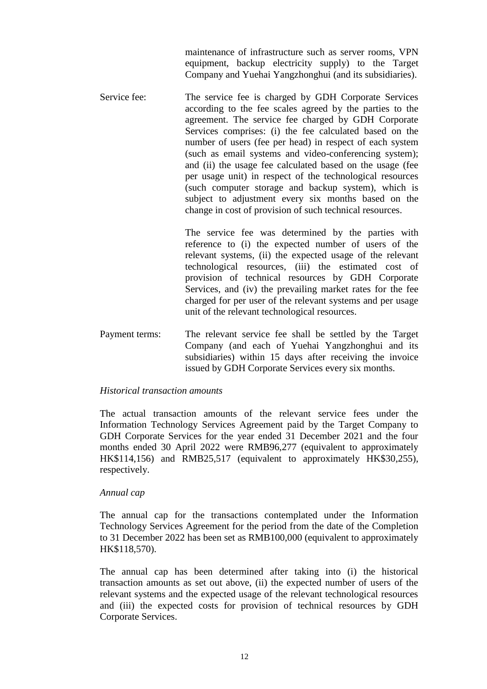maintenance of infrastructure such as server rooms, VPN equipment, backup electricity supply) to the Target Company and Yuehai Yangzhonghui (and its subsidiaries).

Service fee: The service fee is charged by GDH Corporate Services according to the fee scales agreed by the parties to the agreement. The service fee charged by GDH Corporate Services comprises: (i) the fee calculated based on the number of users (fee per head) in respect of each system (such as email systems and video-conferencing system); and (ii) the usage fee calculated based on the usage (fee per usage unit) in respect of the technological resources (such computer storage and backup system), which is subject to adjustment every six months based on the change in cost of provision of such technical resources.

> The service fee was determined by the parties with reference to (i) the expected number of users of the relevant systems, (ii) the expected usage of the relevant technological resources, (iii) the estimated cost of provision of technical resources by GDH Corporate Services, and (iv) the prevailing market rates for the fee charged for per user of the relevant systems and per usage unit of the relevant technological resources.

Payment terms: The relevant service fee shall be settled by the Target Company (and each of Yuehai Yangzhonghui and its subsidiaries) within 15 days after receiving the invoice issued by GDH Corporate Services every six months.

#### *Historical transaction amounts*

The actual transaction amounts of the relevant service fees under the Information Technology Services Agreement paid by the Target Company to GDH Corporate Services for the year ended 31 December 2021 and the four months ended 30 April 2022 were RMB96,277 (equivalent to approximately HK\$114,156) and RMB25,517 (equivalent to approximately HK\$30,255), respectively.

#### *Annual cap*

The annual cap for the transactions contemplated under the Information Technology Services Agreement for the period from the date of the Completion to 31 December 2022 has been set as RMB100,000 (equivalent to approximately HK\$118,570).

The annual cap has been determined after taking into (i) the historical transaction amounts as set out above, (ii) the expected number of users of the relevant systems and the expected usage of the relevant technological resources and (iii) the expected costs for provision of technical resources by GDH Corporate Services.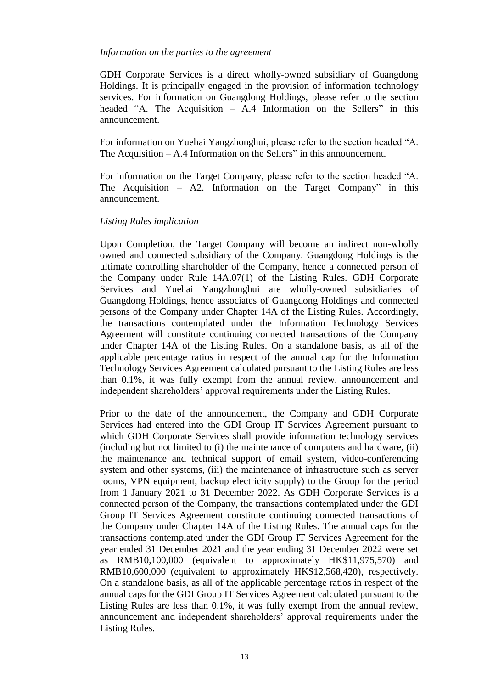#### *Information on the parties to the agreement*

GDH Corporate Services is a direct wholly-owned subsidiary of Guangdong Holdings. It is principally engaged in the provision of information technology services. For information on Guangdong Holdings, please refer to the section headed "A. The Acquisition – A.4 Information on the Sellers" in this announcement.

For information on Yuehai Yangzhonghui, please refer to the section headed "A. The Acquisition – A.4 Information on the Sellers" in this announcement.

For information on the Target Company, please refer to the section headed "A. The Acquisition – A2. Information on the Target Company" in this announcement.

## *Listing Rules implication*

Upon Completion, the Target Company will become an indirect non-wholly owned and connected subsidiary of the Company. Guangdong Holdings is the ultimate controlling shareholder of the Company, hence a connected person of the Company under Rule 14A.07(1) of the Listing Rules. GDH Corporate Services and Yuehai Yangzhonghui are wholly-owned subsidiaries of Guangdong Holdings, hence associates of Guangdong Holdings and connected persons of the Company under Chapter 14A of the Listing Rules. Accordingly, the transactions contemplated under the Information Technology Services Agreement will constitute continuing connected transactions of the Company under Chapter 14A of the Listing Rules. On a standalone basis, as all of the applicable percentage ratios in respect of the annual cap for the Information Technology Services Agreement calculated pursuant to the Listing Rules are less than 0.1%, it was fully exempt from the annual review, announcement and independent shareholders' approval requirements under the Listing Rules.

Prior to the date of the announcement, the Company and GDH Corporate Services had entered into the GDI Group IT Services Agreement pursuant to which GDH Corporate Services shall provide information technology services (including but not limited to (i) the maintenance of computers and hardware, (ii) the maintenance and technical support of email system, video-conferencing system and other systems, (iii) the maintenance of infrastructure such as server rooms, VPN equipment, backup electricity supply) to the Group for the period from 1 January 2021 to 31 December 2022. As GDH Corporate Services is a connected person of the Company, the transactions contemplated under the GDI Group IT Services Agreement constitute continuing connected transactions of the Company under Chapter 14A of the Listing Rules. The annual caps for the transactions contemplated under the GDI Group IT Services Agreement for the year ended 31 December 2021 and the year ending 31 December 2022 were set as RMB10,100,000 (equivalent to approximately HK\$11,975,570) and RMB10,600,000 (equivalent to approximately HK\$12,568,420), respectively. On a standalone basis, as all of the applicable percentage ratios in respect of the annual caps for the GDI Group IT Services Agreement calculated pursuant to the Listing Rules are less than 0.1%, it was fully exempt from the annual review, announcement and independent shareholders' approval requirements under the Listing Rules.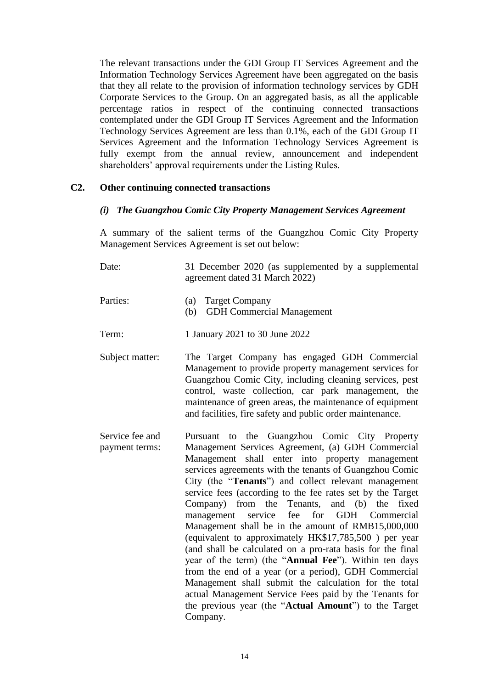The relevant transactions under the GDI Group IT Services Agreement and the Information Technology Services Agreement have been aggregated on the basis that they all relate to the provision of information technology services by GDH Corporate Services to the Group. On an aggregated basis, as all the applicable percentage ratios in respect of the continuing connected transactions contemplated under the GDI Group IT Services Agreement and the Information Technology Services Agreement are less than 0.1%, each of the GDI Group IT Services Agreement and the Information Technology Services Agreement is fully exempt from the annual review, announcement and independent shareholders' approval requirements under the Listing Rules.

## **C2. Other continuing connected transactions**

## *(i) The Guangzhou Comic City Property Management Services Agreement*

A summary of the salient terms of the Guangzhou Comic City Property Management Services Agreement is set out below:

| Date:    | 31 December 2020 (as supplemented by a supplemental<br>agreement dated 31 March 2022) |
|----------|---------------------------------------------------------------------------------------|
| Parties: | (a) Target Company<br><b>GDH Commercial Management</b><br>(h)                         |

- Term: 1 January 2021 to 30 June 2022
- Subject matter: The Target Company has engaged GDH Commercial Management to provide property management services for Guangzhou Comic City, including cleaning services, pest control, waste collection, car park management, the maintenance of green areas, the maintenance of equipment and facilities, fire safety and public order maintenance.
- Service fee and payment terms: Pursuant to the Guangzhou Comic City Property Management Services Agreement, (a) GDH Commercial Management shall enter into property management services agreements with the tenants of Guangzhou Comic City (the "**Tenants**") and collect relevant management service fees (according to the fee rates set by the Target Company) from the Tenants, and (b) the fixed management service fee for GDH Commercial Management shall be in the amount of RMB15,000,000 (equivalent to approximately HK\$17,785,500 ) per year (and shall be calculated on a pro-rata basis for the final year of the term) (the "**Annual Fee**"). Within ten days from the end of a year (or a period), GDH Commercial Management shall submit the calculation for the total actual Management Service Fees paid by the Tenants for the previous year (the "**Actual Amount**") to the Target Company.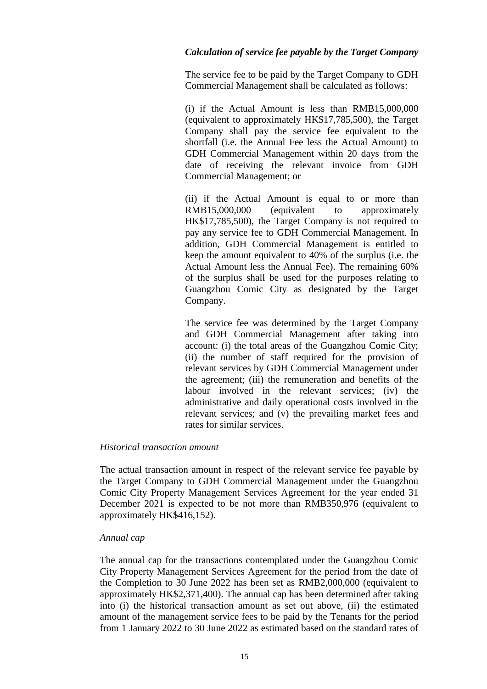## *Calculation of service fee payable by the Target Company*

The service fee to be paid by the Target Company to GDH Commercial Management shall be calculated as follows:

(i) if the Actual Amount is less than RMB15,000,000 (equivalent to approximately HK\$17,785,500), the Target Company shall pay the service fee equivalent to the shortfall (i.e. the Annual Fee less the Actual Amount) to GDH Commercial Management within 20 days from the date of receiving the relevant invoice from GDH Commercial Management; or

(ii) if the Actual Amount is equal to or more than RMB15,000,000 (equivalent to approximately HK\$17,785,500), the Target Company is not required to pay any service fee to GDH Commercial Management. In addition, GDH Commercial Management is entitled to keep the amount equivalent to 40% of the surplus (i.e. the Actual Amount less the Annual Fee). The remaining 60% of the surplus shall be used for the purposes relating to Guangzhou Comic City as designated by the Target Company.

The service fee was determined by the Target Company and GDH Commercial Management after taking into account: (i) the total areas of the Guangzhou Comic City; (ii) the number of staff required for the provision of relevant services by GDH Commercial Management under the agreement; (iii) the remuneration and benefits of the labour involved in the relevant services; (iv) the administrative and daily operational costs involved in the relevant services; and (v) the prevailing market fees and rates for similar services.

## *Historical transaction amount*

The actual transaction amount in respect of the relevant service fee payable by the Target Company to GDH Commercial Management under the Guangzhou Comic City Property Management Services Agreement for the year ended 31 December 2021 is expected to be not more than RMB350,976 (equivalent to approximately HK\$416,152).

## *Annual cap*

The annual cap for the transactions contemplated under the Guangzhou Comic City Property Management Services Agreement for the period from the date of the Completion to 30 June 2022 has been set as RMB2,000,000 (equivalent to approximately HK\$2,371,400). The annual cap has been determined after taking into (i) the historical transaction amount as set out above, (ii) the estimated amount of the management service fees to be paid by the Tenants for the period from 1 January 2022 to 30 June 2022 as estimated based on the standard rates of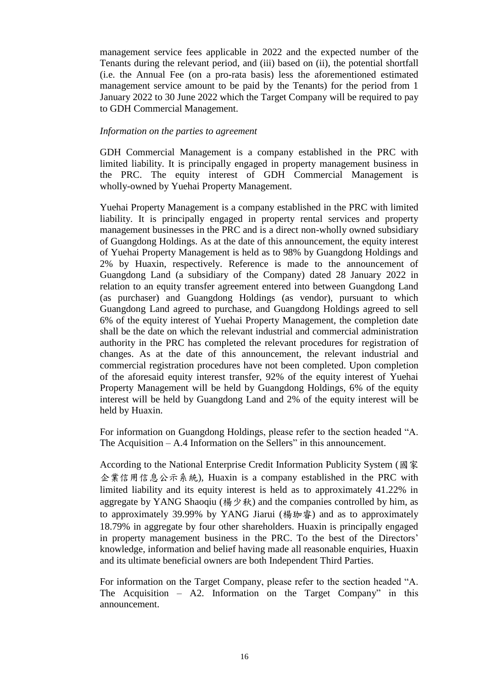management service fees applicable in 2022 and the expected number of the Tenants during the relevant period, and (iii) based on (ii), the potential shortfall (i.e. the Annual Fee (on a pro-rata basis) less the aforementioned estimated management service amount to be paid by the Tenants) for the period from 1 January 2022 to 30 June 2022 which the Target Company will be required to pay to GDH Commercial Management.

#### *Information on the parties to agreement*

GDH Commercial Management is a company established in the PRC with limited liability. It is principally engaged in property management business in the PRC. The equity interest of GDH Commercial Management is wholly-owned by Yuehai Property Management.

Yuehai Property Management is a company established in the PRC with limited liability. It is principally engaged in property rental services and property management businesses in the PRC and is a direct non-wholly owned subsidiary of Guangdong Holdings. As at the date of this announcement, the equity interest of Yuehai Property Management is held as to 98% by Guangdong Holdings and 2% by Huaxin, respectively. Reference is made to the announcement of Guangdong Land (a subsidiary of the Company) dated 28 January 2022 in relation to an equity transfer agreement entered into between Guangdong Land (as purchaser) and Guangdong Holdings (as vendor), pursuant to which Guangdong Land agreed to purchase, and Guangdong Holdings agreed to sell 6% of the equity interest of Yuehai Property Management, the completion date shall be the date on which the relevant industrial and commercial administration authority in the PRC has completed the relevant procedures for registration of changes. As at the date of this announcement, the relevant industrial and commercial registration procedures have not been completed. Upon completion of the aforesaid equity interest transfer, 92% of the equity interest of Yuehai Property Management will be held by Guangdong Holdings, 6% of the equity interest will be held by Guangdong Land and 2% of the equity interest will be held by Huaxin.

For information on Guangdong Holdings, please refer to the section headed "A. The Acquisition – A.4 Information on the Sellers" in this announcement.

According to the National Enterprise Credit Information Publicity System (國家 企業信用信息公示系統), Huaxin is a company established in the PRC with limited liability and its equity interest is held as to approximately 41.22% in aggregate by YANG Shaoqiu (楊少秋) and the companies controlled by him, as to approximately 39.99% by YANG Jiarui (楊珈睿) and as to approximately 18.79% in aggregate by four other shareholders. Huaxin is principally engaged in property management business in the PRC. To the best of the Directors' knowledge, information and belief having made all reasonable enquiries, Huaxin and its ultimate beneficial owners are both Independent Third Parties.

For information on the Target Company, please refer to the section headed "A. The Acquisition – A2. Information on the Target Company" in this announcement.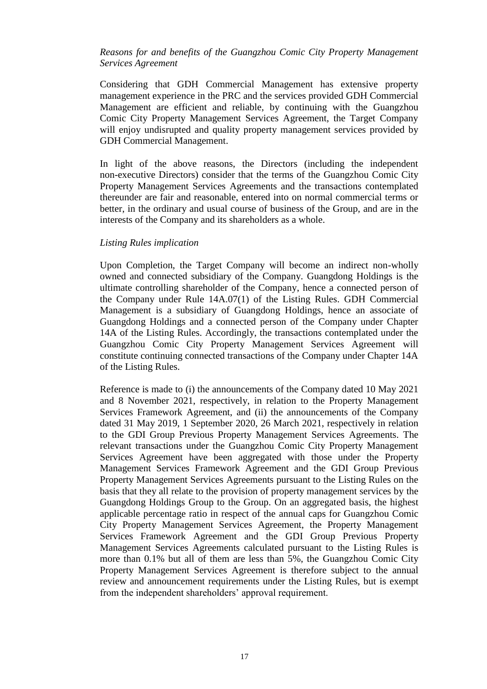## *Reasons for and benefits of the Guangzhou Comic City Property Management Services Agreement*

Considering that GDH Commercial Management has extensive property management experience in the PRC and the services provided GDH Commercial Management are efficient and reliable, by continuing with the Guangzhou Comic City Property Management Services Agreement, the Target Company will enjoy undisrupted and quality property management services provided by GDH Commercial Management.

In light of the above reasons, the Directors (including the independent non-executive Directors) consider that the terms of the Guangzhou Comic City Property Management Services Agreements and the transactions contemplated thereunder are fair and reasonable, entered into on normal commercial terms or better, in the ordinary and usual course of business of the Group, and are in the interests of the Company and its shareholders as a whole.

#### *Listing Rules implication*

Upon Completion, the Target Company will become an indirect non-wholly owned and connected subsidiary of the Company. Guangdong Holdings is the ultimate controlling shareholder of the Company, hence a connected person of the Company under Rule 14A.07(1) of the Listing Rules. GDH Commercial Management is a subsidiary of Guangdong Holdings, hence an associate of Guangdong Holdings and a connected person of the Company under Chapter 14A of the Listing Rules. Accordingly, the transactions contemplated under the Guangzhou Comic City Property Management Services Agreement will constitute continuing connected transactions of the Company under Chapter 14A of the Listing Rules.

Reference is made to (i) the announcements of the Company dated 10 May 2021 and 8 November 2021, respectively, in relation to the Property Management Services Framework Agreement, and (ii) the announcements of the Company dated 31 May 2019, 1 September 2020, 26 March 2021, respectively in relation to the GDI Group Previous Property Management Services Agreements. The relevant transactions under the Guangzhou Comic City Property Management Services Agreement have been aggregated with those under the Property Management Services Framework Agreement and the GDI Group Previous Property Management Services Agreements pursuant to the Listing Rules on the basis that they all relate to the provision of property management services by the Guangdong Holdings Group to the Group. On an aggregated basis, the highest applicable percentage ratio in respect of the annual caps for Guangzhou Comic City Property Management Services Agreement, the Property Management Services Framework Agreement and the GDI Group Previous Property Management Services Agreements calculated pursuant to the Listing Rules is more than 0.1% but all of them are less than 5%, the Guangzhou Comic City Property Management Services Agreement is therefore subject to the annual review and announcement requirements under the Listing Rules, but is exempt from the independent shareholders' approval requirement.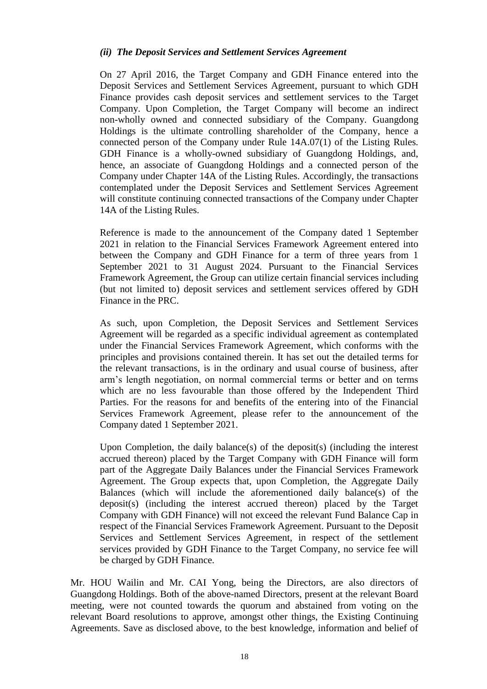## *(ii) The Deposit Services and Settlement Services Agreement*

On 27 April 2016, the Target Company and GDH Finance entered into the Deposit Services and Settlement Services Agreement, pursuant to which GDH Finance provides cash deposit services and settlement services to the Target Company. Upon Completion, the Target Company will become an indirect non-wholly owned and connected subsidiary of the Company. Guangdong Holdings is the ultimate controlling shareholder of the Company, hence a connected person of the Company under Rule 14A.07(1) of the Listing Rules. GDH Finance is a wholly-owned subsidiary of Guangdong Holdings, and, hence, an associate of Guangdong Holdings and a connected person of the Company under Chapter 14A of the Listing Rules. Accordingly, the transactions contemplated under the Deposit Services and Settlement Services Agreement will constitute continuing connected transactions of the Company under Chapter 14A of the Listing Rules.

Reference is made to the announcement of the Company dated 1 September 2021 in relation to the Financial Services Framework Agreement entered into between the Company and GDH Finance for a term of three years from 1 September 2021 to 31 August 2024. Pursuant to the Financial Services Framework Agreement, the Group can utilize certain financial services including (but not limited to) deposit services and settlement services offered by GDH Finance in the PRC.

As such, upon Completion, the Deposit Services and Settlement Services Agreement will be regarded as a specific individual agreement as contemplated under the Financial Services Framework Agreement, which conforms with the principles and provisions contained therein. It has set out the detailed terms for the relevant transactions, is in the ordinary and usual course of business, after arm's length negotiation, on normal commercial terms or better and on terms which are no less favourable than those offered by the Independent Third Parties. For the reasons for and benefits of the entering into of the Financial Services Framework Agreement, please refer to the announcement of the Company dated 1 September 2021.

Upon Completion, the daily balance(s) of the deposit(s) (including the interest accrued thereon) placed by the Target Company with GDH Finance will form part of the Aggregate Daily Balances under the Financial Services Framework Agreement. The Group expects that, upon Completion, the Aggregate Daily Balances (which will include the aforementioned daily balance(s) of the deposit(s) (including the interest accrued thereon) placed by the Target Company with GDH Finance) will not exceed the relevant Fund Balance Cap in respect of the Financial Services Framework Agreement. Pursuant to the Deposit Services and Settlement Services Agreement, in respect of the settlement services provided by GDH Finance to the Target Company, no service fee will be charged by GDH Finance.

Mr. HOU Wailin and Mr. CAI Yong, being the Directors, are also directors of Guangdong Holdings. Both of the above-named Directors, present at the relevant Board meeting, were not counted towards the quorum and abstained from voting on the relevant Board resolutions to approve, amongst other things, the Existing Continuing Agreements. Save as disclosed above, to the best knowledge, information and belief of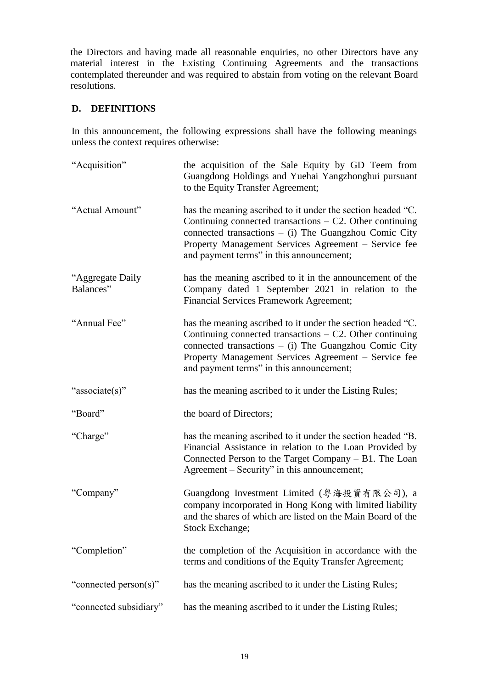the Directors and having made all reasonable enquiries, no other Directors have any material interest in the Existing Continuing Agreements and the transactions contemplated thereunder and was required to abstain from voting on the relevant Board resolutions.

# **D. DEFINITIONS**

In this announcement, the following expressions shall have the following meanings unless the context requires otherwise:

| "Acquisition"                 | the acquisition of the Sale Equity by GD Teem from<br>Guangdong Holdings and Yuehai Yangzhonghui pursuant<br>to the Equity Transfer Agreement;                                                                                                                                            |
|-------------------------------|-------------------------------------------------------------------------------------------------------------------------------------------------------------------------------------------------------------------------------------------------------------------------------------------|
| "Actual Amount"               | has the meaning ascribed to it under the section headed "C.<br>Continuing connected transactions $- C2$ . Other continuing<br>connected transactions $-$ (i) The Guangzhou Comic City<br>Property Management Services Agreement - Service fee<br>and payment terms" in this announcement; |
| "Aggregate Daily<br>Balances" | has the meaning ascribed to it in the announcement of the<br>Company dated 1 September 2021 in relation to the<br>Financial Services Framework Agreement;                                                                                                                                 |
| "Annual Fee"                  | has the meaning ascribed to it under the section headed "C.<br>Continuing connected transactions $-$ C2. Other continuing<br>connected transactions $-$ (i) The Guangzhou Comic City<br>Property Management Services Agreement - Service fee<br>and payment terms" in this announcement;  |
| "associate(s)"                | has the meaning ascribed to it under the Listing Rules;                                                                                                                                                                                                                                   |
| "Board"                       | the board of Directors;                                                                                                                                                                                                                                                                   |
| "Charge"                      | has the meaning ascribed to it under the section headed "B.<br>Financial Assistance in relation to the Loan Provided by<br>Connected Person to the Target Company – B1. The Loan<br>Agreement – Security" in this announcement;                                                           |
| "Company"                     | Guangdong Investment Limited (粤海投資有限公司), a<br>company incorporated in Hong Kong with limited liability<br>and the shares of which are listed on the Main Board of the<br>Stock Exchange;                                                                                                  |
| "Completion"                  | the completion of the Acquisition in accordance with the<br>terms and conditions of the Equity Transfer Agreement;                                                                                                                                                                        |
| "connected person(s)"         | has the meaning ascribed to it under the Listing Rules;                                                                                                                                                                                                                                   |
| "connected subsidiary"        | has the meaning ascribed to it under the Listing Rules;                                                                                                                                                                                                                                   |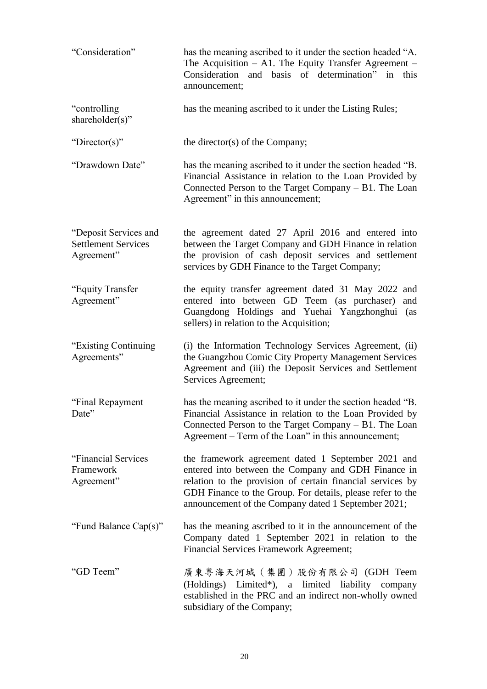| "Consideration"                                                   | has the meaning ascribed to it under the section headed "A.<br>The Acquisition $-$ A1. The Equity Transfer Agreement $-$<br>Consideration and basis of determination" in this<br>announcement;                                                                                               |
|-------------------------------------------------------------------|----------------------------------------------------------------------------------------------------------------------------------------------------------------------------------------------------------------------------------------------------------------------------------------------|
| "controlling"<br>shareholder(s)"                                  | has the meaning ascribed to it under the Listing Rules;                                                                                                                                                                                                                                      |
| "Director(s)"                                                     | the director(s) of the Company;                                                                                                                                                                                                                                                              |
| "Drawdown Date"                                                   | has the meaning ascribed to it under the section headed "B.<br>Financial Assistance in relation to the Loan Provided by<br>Connected Person to the Target Company - B1. The Loan<br>Agreement" in this announcement;                                                                         |
| "Deposit Services and<br><b>Settlement Services</b><br>Agreement" | the agreement dated 27 April 2016 and entered into<br>between the Target Company and GDH Finance in relation<br>the provision of cash deposit services and settlement<br>services by GDH Finance to the Target Company;                                                                      |
| "Equity Transfer<br>Agreement"                                    | the equity transfer agreement dated 31 May 2022 and<br>entered into between GD Teem (as purchaser)<br>and<br>Guangdong Holdings and Yuehai Yangzhonghui (as<br>sellers) in relation to the Acquisition;                                                                                      |
| "Existing Continuing"<br>Agreements"                              | (i) the Information Technology Services Agreement, (ii)<br>the Guangzhou Comic City Property Management Services<br>Agreement and (iii) the Deposit Services and Settlement<br>Services Agreement;                                                                                           |
| "Final Repayment<br>Date"                                         | has the meaning ascribed to it under the section headed "B.<br>Financial Assistance in relation to the Loan Provided by<br>Connected Person to the Target Company – B1. The Loan<br>Agreement – Term of the Loan" in this announcement;                                                      |
| "Financial Services"<br>Framework<br>Agreement"                   | the framework agreement dated 1 September 2021 and<br>entered into between the Company and GDH Finance in<br>relation to the provision of certain financial services by<br>GDH Finance to the Group. For details, please refer to the<br>announcement of the Company dated 1 September 2021; |
| "Fund Balance Cap(s)"                                             | has the meaning ascribed to it in the announcement of the<br>Company dated 1 September 2021 in relation to the<br>Financial Services Framework Agreement;                                                                                                                                    |
| "GD Teem"                                                         | 廣東粤海天河城(集團)股份有限公司(GDH Teem<br>(Holdings) Limited*), a limited liability company<br>established in the PRC and an indirect non-wholly owned<br>subsidiary of the Company;                                                                                                                     |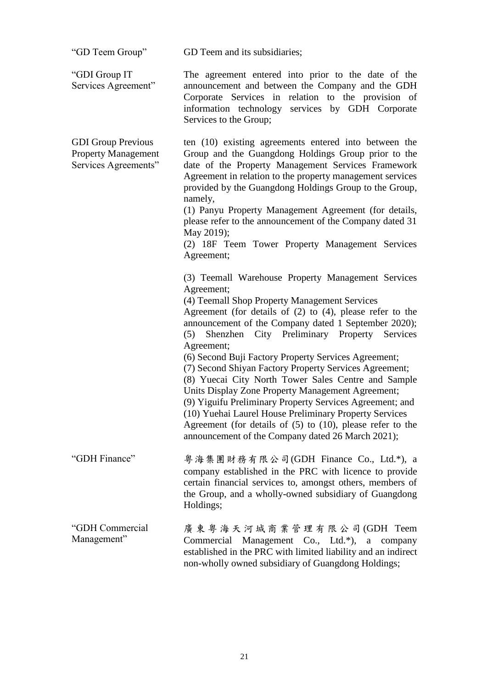| "GD Teem Group"                                                                 | GD Teem and its subsidiaries;                                                                                                                                                                                                                                                                                                                                                                                                                                                                                                                                                                                                                                                                                                                                                               |
|---------------------------------------------------------------------------------|---------------------------------------------------------------------------------------------------------------------------------------------------------------------------------------------------------------------------------------------------------------------------------------------------------------------------------------------------------------------------------------------------------------------------------------------------------------------------------------------------------------------------------------------------------------------------------------------------------------------------------------------------------------------------------------------------------------------------------------------------------------------------------------------|
| "GDI Group IT<br>Services Agreement"                                            | The agreement entered into prior to the date of the<br>announcement and between the Company and the GDH<br>Corporate Services in relation to the provision of<br>information technology services by GDH Corporate<br>Services to the Group;                                                                                                                                                                                                                                                                                                                                                                                                                                                                                                                                                 |
| <b>GDI Group Previous</b><br><b>Property Management</b><br>Services Agreements" | ten (10) existing agreements entered into between the<br>Group and the Guangdong Holdings Group prior to the<br>date of the Property Management Services Framework<br>Agreement in relation to the property management services<br>provided by the Guangdong Holdings Group to the Group,<br>namely,<br>(1) Panyu Property Management Agreement (for details,<br>please refer to the announcement of the Company dated 31<br>May 2019);<br>(2) 18F Teem Tower Property Management Services<br>Agreement;                                                                                                                                                                                                                                                                                    |
|                                                                                 | (3) Teemall Warehouse Property Management Services<br>Agreement;<br>(4) Teemall Shop Property Management Services<br>Agreement (for details of $(2)$ to $(4)$ , please refer to the<br>announcement of the Company dated 1 September 2020);<br>Shenzhen City Preliminary Property Services<br>(5)<br>Agreement;<br>(6) Second Buji Factory Property Services Agreement;<br>(7) Second Shiyan Factory Property Services Agreement;<br>(8) Yuecai City North Tower Sales Centre and Sample<br>Units Display Zone Property Management Agreement;<br>(9) Yiguifu Preliminary Property Services Agreement; and<br>(10) Yuehai Laurel House Preliminary Property Services<br>Agreement (for details of $(5)$ to $(10)$ , please refer to the<br>announcement of the Company dated 26 March 2021); |
| "GDH Finance"                                                                   | 粤海集團財務有限公司(GDH Finance Co., Ltd.*), a<br>company established in the PRC with licence to provide<br>certain financial services to, amongst others, members of<br>the Group, and a wholly-owned subsidiary of Guangdong<br>Holdings;                                                                                                                                                                                                                                                                                                                                                                                                                                                                                                                                                          |
| "GDH Commercial<br>Management"                                                  | 廣東粤海天河城商業管理有限公司(GDH Teem<br>Commercial Management Co., Ltd.*), a<br>company<br>established in the PRC with limited liability and an indirect<br>non-wholly owned subsidiary of Guangdong Holdings;                                                                                                                                                                                                                                                                                                                                                                                                                                                                                                                                                                                          |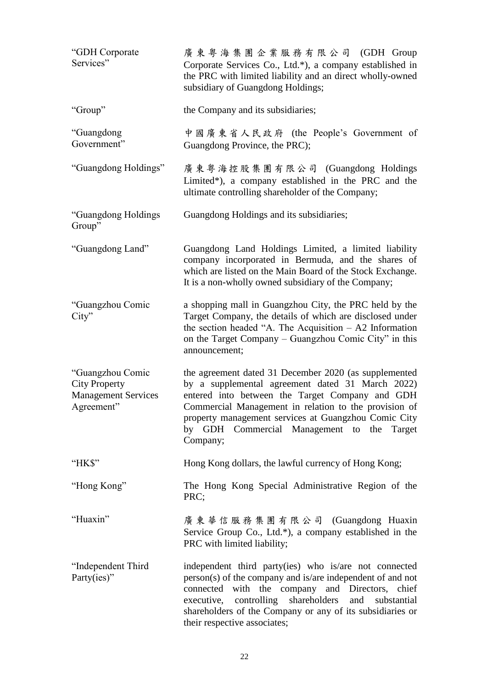| "GDH Corporate<br>Services"                                                          | 廣東粤海集團企業服務有限公司 (GDH Group<br>Corporate Services Co., Ltd.*), a company established in<br>the PRC with limited liability and an direct wholly-owned<br>subsidiary of Guangdong Holdings;                                                                                                                                                 |
|--------------------------------------------------------------------------------------|-----------------------------------------------------------------------------------------------------------------------------------------------------------------------------------------------------------------------------------------------------------------------------------------------------------------------------------------|
| "Group"                                                                              | the Company and its subsidiaries;                                                                                                                                                                                                                                                                                                       |
| "Guangdong<br>Government"                                                            | 中國廣東省人民政府 (the People's Government of<br>Guangdong Province, the PRC);                                                                                                                                                                                                                                                                  |
| "Guangdong Holdings"                                                                 | 廣東粤海控股集團有限公司 (Guangdong Holdings)<br>Limited*), a company established in the PRC and the<br>ultimate controlling shareholder of the Company;                                                                                                                                                                                            |
| "Guangdong Holdings<br>Group"                                                        | Guangdong Holdings and its subsidiaries;                                                                                                                                                                                                                                                                                                |
| "Guangdong Land"                                                                     | Guangdong Land Holdings Limited, a limited liability<br>company incorporated in Bermuda, and the shares of<br>which are listed on the Main Board of the Stock Exchange.<br>It is a non-wholly owned subsidiary of the Company;                                                                                                          |
| "Guangzhou Comic<br>City"                                                            | a shopping mall in Guangzhou City, the PRC held by the<br>Target Company, the details of which are disclosed under<br>the section headed "A. The Acquisition $-$ A2 Information<br>on the Target Company – Guangzhou Comic City" in this<br>announcement;                                                                               |
| "Guangzhou Comic<br><b>City Property</b><br><b>Management Services</b><br>Agreement" | the agreement dated 31 December 2020 (as supplemented<br>by a supplemental agreement dated 31 March 2022)<br>entered into between the Target Company and GDH<br>Commercial Management in relation to the provision of<br>property management services at Guangzhou Comic City<br>by GDH Commercial Management to the Target<br>Company; |
| "HK\$"                                                                               | Hong Kong dollars, the lawful currency of Hong Kong;                                                                                                                                                                                                                                                                                    |
| "Hong Kong"                                                                          | The Hong Kong Special Administrative Region of the<br>PRC;                                                                                                                                                                                                                                                                              |
| "Huaxin"                                                                             | 廣東華信服務集團有限公司 (Guangdong Huaxin<br>Service Group Co., Ltd.*), a company established in the<br>PRC with limited liability;                                                                                                                                                                                                                |
| "Independent Third<br>Party(ies)"                                                    | independent third party(ies) who is/are not connected<br>person(s) of the company and is/are independent of and not<br>connected with the company and Directors, chief<br>shareholders<br>executive, controlling<br>and<br>substantial<br>shareholders of the Company or any of its subsidiaries or<br>their respective associates;     |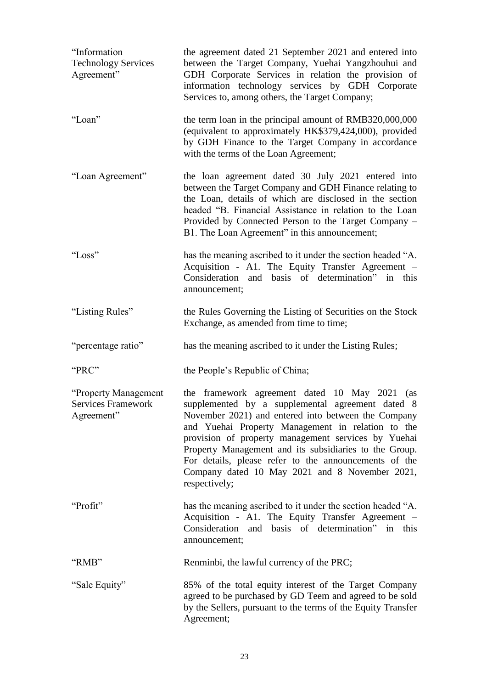| "Information<br><b>Technology Services</b><br>Agreement"         | the agreement dated 21 September 2021 and entered into<br>between the Target Company, Yuehai Yangzhouhui and<br>GDH Corporate Services in relation the provision of<br>information technology services by GDH Corporate<br>Services to, among others, the Target Company;                                                                                                                                                                                  |
|------------------------------------------------------------------|------------------------------------------------------------------------------------------------------------------------------------------------------------------------------------------------------------------------------------------------------------------------------------------------------------------------------------------------------------------------------------------------------------------------------------------------------------|
| "Loan"                                                           | the term loan in the principal amount of RMB320,000,000<br>(equivalent to approximately HK\$379,424,000), provided<br>by GDH Finance to the Target Company in accordance<br>with the terms of the Loan Agreement;                                                                                                                                                                                                                                          |
| "Loan Agreement"                                                 | the loan agreement dated 30 July 2021 entered into<br>between the Target Company and GDH Finance relating to<br>the Loan, details of which are disclosed in the section<br>headed "B. Financial Assistance in relation to the Loan<br>Provided by Connected Person to the Target Company -<br>B1. The Loan Agreement" in this announcement;                                                                                                                |
| "Loss"                                                           | has the meaning ascribed to it under the section headed "A.<br>Acquisition - A1. The Equity Transfer Agreement -<br>Consideration and basis of determination" in this<br>announcement;                                                                                                                                                                                                                                                                     |
| "Listing Rules"                                                  | the Rules Governing the Listing of Securities on the Stock<br>Exchange, as amended from time to time;                                                                                                                                                                                                                                                                                                                                                      |
| "percentage ratio"                                               | has the meaning ascribed to it under the Listing Rules;                                                                                                                                                                                                                                                                                                                                                                                                    |
| "PRC"                                                            | the People's Republic of China;                                                                                                                                                                                                                                                                                                                                                                                                                            |
| "Property Management"<br><b>Services Framework</b><br>Agreement" | the framework agreement dated 10 May 2021 (as<br>supplemented by a supplemental agreement dated 8<br>November 2021) and entered into between the Company<br>and Yuehai Property Management in relation to the<br>provision of property management services by Yuehai<br>Property Management and its subsidiaries to the Group.<br>For details, please refer to the announcements of the<br>Company dated 10 May 2021 and 8 November 2021,<br>respectively; |
| "Profit"                                                         | has the meaning ascribed to it under the section headed "A.<br>Acquisition - A1. The Equity Transfer Agreement -<br>Consideration and basis of determination" in this<br>announcement;                                                                                                                                                                                                                                                                     |
| "RMB"                                                            | Renminbi, the lawful currency of the PRC;                                                                                                                                                                                                                                                                                                                                                                                                                  |
| "Sale Equity"                                                    | 85% of the total equity interest of the Target Company<br>agreed to be purchased by GD Teem and agreed to be sold<br>by the Sellers, pursuant to the terms of the Equity Transfer<br>Agreement;                                                                                                                                                                                                                                                            |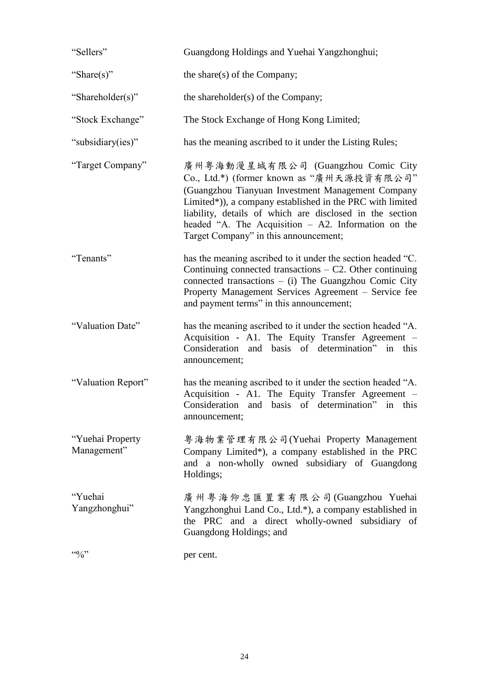| "Sellers"                       | Guangdong Holdings and Yuehai Yangzhonghui;                                                                                                                                                                                                                                                                                                                     |
|---------------------------------|-----------------------------------------------------------------------------------------------------------------------------------------------------------------------------------------------------------------------------------------------------------------------------------------------------------------------------------------------------------------|
| "Share(s)"                      | the share(s) of the Company;                                                                                                                                                                                                                                                                                                                                    |
| "Shareholder(s)"                | the shareholder(s) of the Company;                                                                                                                                                                                                                                                                                                                              |
| "Stock Exchange"                | The Stock Exchange of Hong Kong Limited;                                                                                                                                                                                                                                                                                                                        |
| "subsidiary(ies)"               | has the meaning ascribed to it under the Listing Rules;                                                                                                                                                                                                                                                                                                         |
| "Target Company"                | 廣州粤海動漫星城有限公司 (Guangzhou Comic City<br>Co., Ltd.*) (former known as "廣州天源投資有限公司"<br>(Guangzhou Tianyuan Investment Management Company<br>Limited*)), a company established in the PRC with limited<br>liability, details of which are disclosed in the section<br>headed "A. The Acquisition $-$ A2. Information on the<br>Target Company" in this announcement; |
| "Tenants"                       | has the meaning ascribed to it under the section headed "C.<br>Continuing connected transactions $- C2$ . Other continuing<br>connected transactions $-$ (i) The Guangzhou Comic City<br>Property Management Services Agreement - Service fee<br>and payment terms" in this announcement;                                                                       |
| "Valuation Date"                | has the meaning ascribed to it under the section headed "A.<br>Acquisition - A1. The Equity Transfer Agreement -<br>Consideration and basis of determination" in this<br>announcement;                                                                                                                                                                          |
| "Valuation Report"              | has the meaning ascribed to it under the section headed "A.<br>Acquisition - A1. The Equity Transfer Agreement -<br>Consideration and basis of determination" in this<br>announcement;                                                                                                                                                                          |
| "Yuehai Property<br>Management" | 粤海物業管理有限公司(Yuehai Property Management<br>Company Limited*), a company established in the PRC<br>and a non-wholly owned subsidiary of Guangdong<br>Holdings;                                                                                                                                                                                                     |
| "Yuehai<br>Yangzhonghui"        | 廣州粤海仰忠匯置業有限公司(Guangzhou Yuehai<br>Yangzhonghui Land Co., Ltd.*), a company established in<br>the PRC and a direct wholly-owned subsidiary of<br>Guangdong Holdings; and                                                                                                                                                                                         |
| 4.40                            | per cent.                                                                                                                                                                                                                                                                                                                                                       |
|                                 |                                                                                                                                                                                                                                                                                                                                                                 |

24